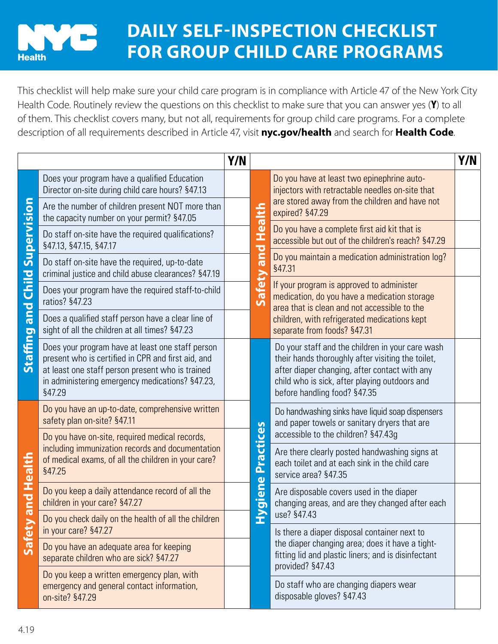## **DAILY SELF-INSPECTION CHECKLIST FOR GROUP CHILD CARE PROGRAMS Health**

This checklist will help make sure your child care program is in compliance with Article 47 of the New York City Health Code. Routinely review the questions on this checklist to make sure that you can answer yes (Y) to all of them. This checklist covers many, but not all, requirements for group child care programs. For a complete description of all requirements described in Article 47, visit **[nyc.gov/health](http://nyc.gov/health)** and search for **Health Code**.

|                                                |                                                                                                                                                                                                                         | Y/N |                                                           |                                                                                                                                                                                                                                         | Y/N |
|------------------------------------------------|-------------------------------------------------------------------------------------------------------------------------------------------------------------------------------------------------------------------------|-----|-----------------------------------------------------------|-----------------------------------------------------------------------------------------------------------------------------------------------------------------------------------------------------------------------------------------|-----|
| Supervision<br>Child<br>bue<br><b>Staffing</b> | Does your program have a qualified Education<br>Director on-site during child care hours? §47.13                                                                                                                        |     | Health<br>and<br>Safety                                   | Do you have at least two epinephrine auto-<br>injectors with retractable needles on-site that<br>are stored away from the children and have not<br>expired? §47.29                                                                      |     |
|                                                | Are the number of children present NOT more than<br>the capacity number on your permit? §47.05                                                                                                                          |     |                                                           |                                                                                                                                                                                                                                         |     |
|                                                | Do staff on-site have the required qualifications?<br>§47.13, §47.15, §47.17                                                                                                                                            |     |                                                           | Do you have a complete first aid kit that is<br>accessible but out of the children's reach? §47.29                                                                                                                                      |     |
|                                                | Do staff on-site have the required, up-to-date<br>criminal justice and child abuse clearances? §47.19                                                                                                                   |     |                                                           | Do you maintain a medication administration log?<br>§47.31                                                                                                                                                                              |     |
|                                                | Does your program have the required staff-to-child<br>ratios? §47.23                                                                                                                                                    |     |                                                           | If your program is approved to administer<br>medication, do you have a medication storage<br>area that is clean and not accessible to the<br>children, with refrigerated medications kept<br>separate from foods? §47.31                |     |
|                                                | Does a qualified staff person have a clear line of<br>sight of all the children at all times? §47.23                                                                                                                    |     |                                                           |                                                                                                                                                                                                                                         |     |
|                                                | Does your program have at least one staff person<br>present who is certified in CPR and first aid, and<br>at least one staff person present who is trained<br>in administering emergency medications? §47.23,<br>§47.29 |     | <b>Practices</b><br>$\mathbf{\omega}$<br><b>neip</b><br>É | Do your staff and the children in your care wash<br>their hands thoroughly after visiting the toilet,<br>after diaper changing, after contact with any<br>child who is sick, after playing outdoors and<br>before handling food? §47.35 |     |
| Health<br>bue<br>Safety                        | Do you have an up-to-date, comprehensive written<br>safety plan on-site? §47.11                                                                                                                                         |     |                                                           | Do handwashing sinks have liquid soap dispensers<br>and paper towels or sanitary dryers that are                                                                                                                                        |     |
|                                                | Do you have on-site, required medical records,<br>including immunization records and documentation                                                                                                                      |     |                                                           | accessible to the children? §47.43g                                                                                                                                                                                                     |     |
|                                                | of medical exams, of all the children in your care?<br>§47.25                                                                                                                                                           |     |                                                           | Are there clearly posted handwashing signs at<br>each toilet and at each sink in the child care<br>service area? §47.35                                                                                                                 |     |
|                                                | Do you keep a daily attendance record of all the<br>children in your care? §47.27                                                                                                                                       |     |                                                           | Are disposable covers used in the diaper<br>changing areas, and are they changed after each                                                                                                                                             |     |
|                                                | Do you check daily on the health of all the children<br>in your care? §47.27                                                                                                                                            |     |                                                           | use? §47.43<br>Is there a diaper disposal container next to<br>the diaper changing area; does it have a tight-<br>fitting lid and plastic liners; and is disinfectant<br>provided? §47.43                                               |     |
|                                                | Do you have an adequate area for keeping<br>separate children who are sick? §47.27                                                                                                                                      |     |                                                           |                                                                                                                                                                                                                                         |     |
|                                                | Do you keep a written emergency plan, with<br>emergency and general contact information,<br>on-site? §47.29                                                                                                             |     |                                                           | Do staff who are changing diapers wear<br>disposable gloves? §47.43                                                                                                                                                                     |     |